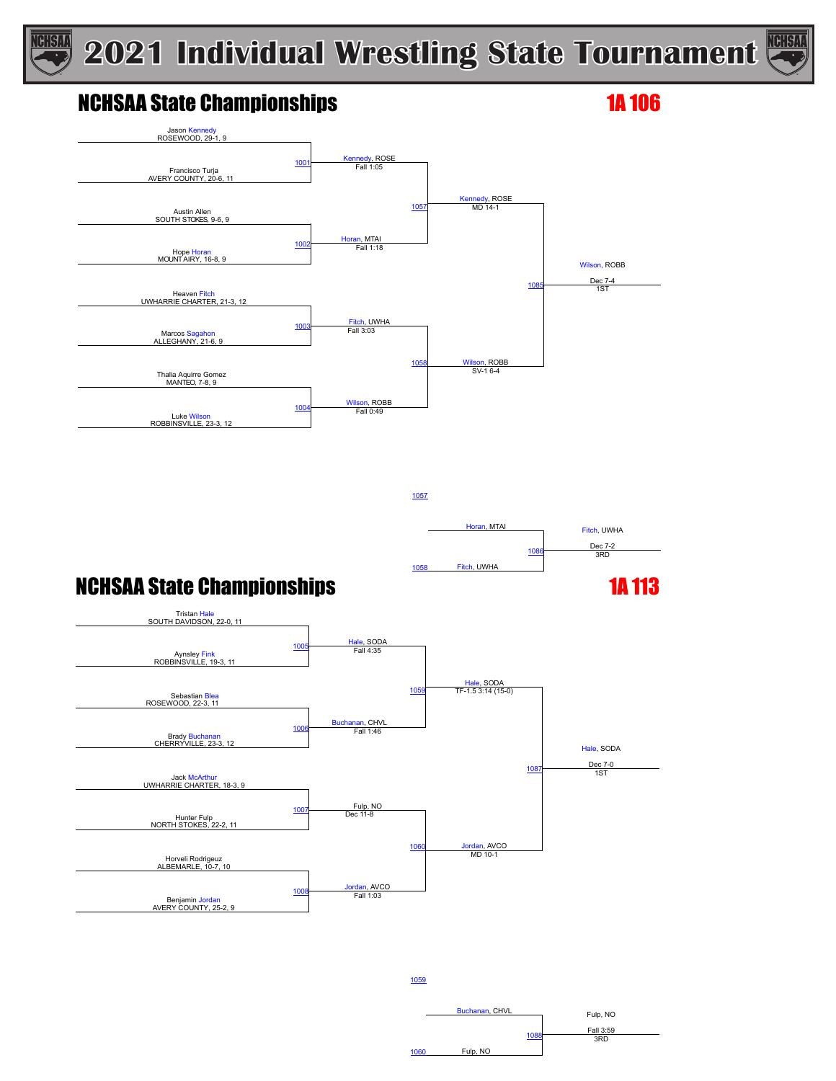

### NCHSAA State Championships 18 and 18 and 18 and 18 and 18 and 18 and 18 and 18 and 18 and 18 and 18 and 18 and 1

**TCHSAA** 



1057



Buchanan, CHVL Fulp, NO

Fall 3:59 <sup>1088</sup> 3RD

### **NCHSAA State Championships 1A 113**



1059

1060 Fulp, NO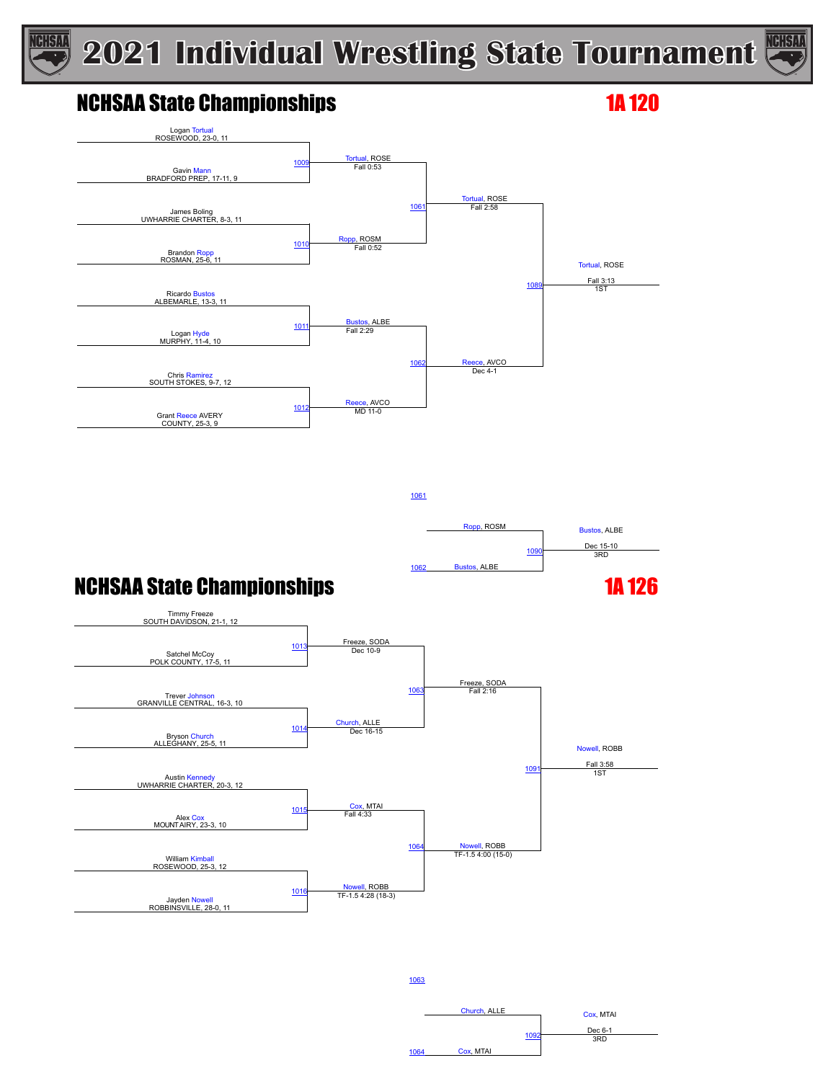

### NCHSAA State Championships 18 and 120

**NGHSAA** 



1061

Ropp, ROSM Bustos, ALBE 1090 Dec 15-10<br>3RD Bustos, ALBE

### NCHSAA State Championships 16 and 126



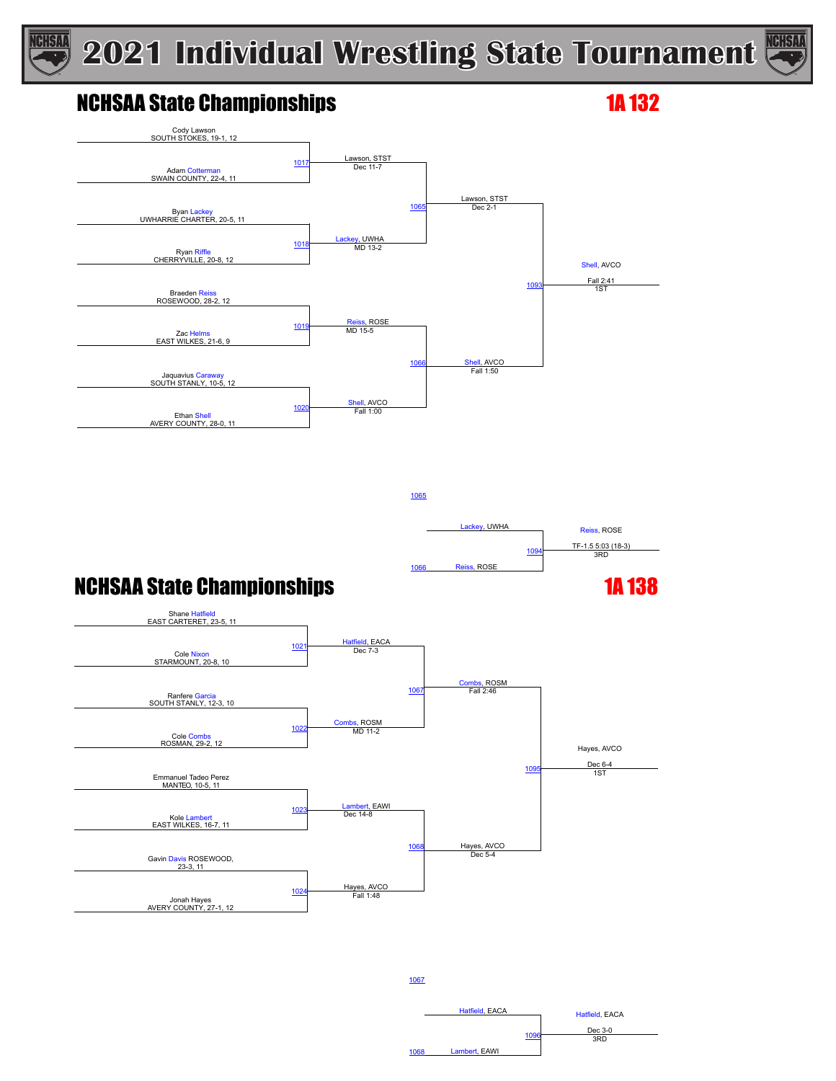

1065



### NCHSAA State Championships 12 and 132



Lackey, UWHA Reiss, ROSE 1094 TF-1.5 5:03 (18-3)<br>3RD Reiss, ROSE

### **NCHSAA State Championships 1A 138**



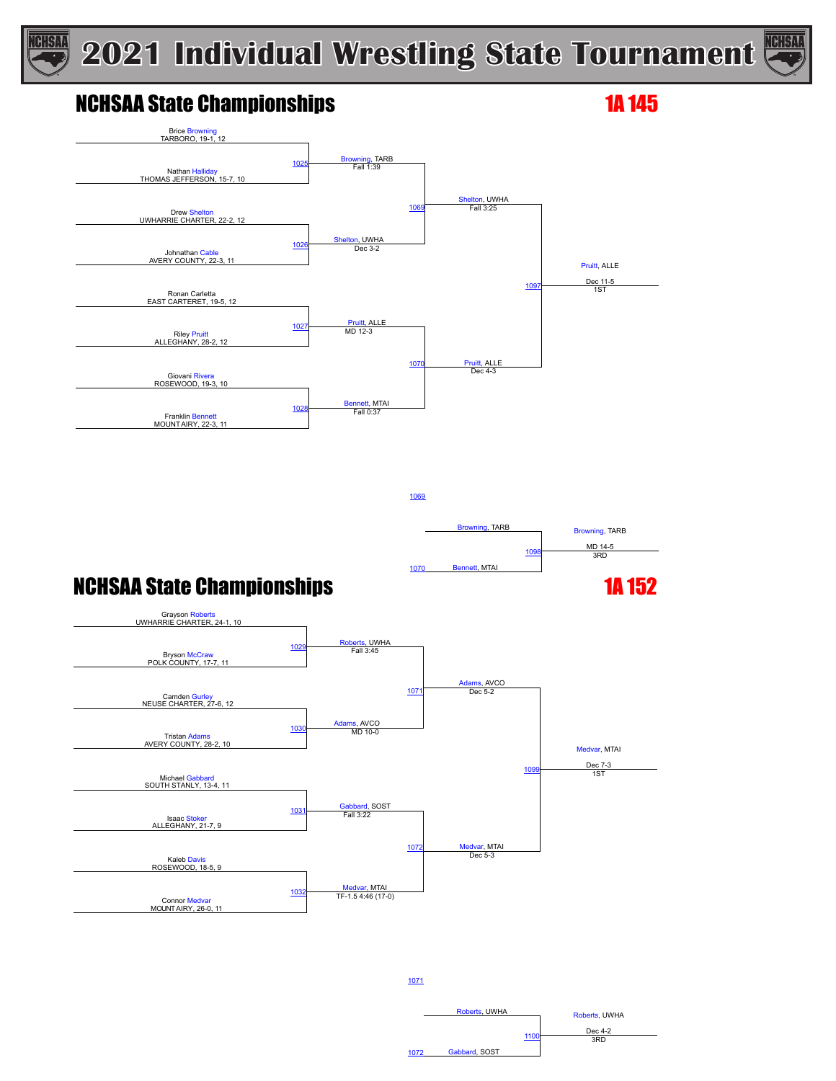

### NCHSAA State Championships 12 and 145

GISN:



1069 Browning, TARB **Browning, TARB** MD 14-5 1070 Bennett, MTAI 1098 3RD

### **NCHSAA State Championships 1A 152**



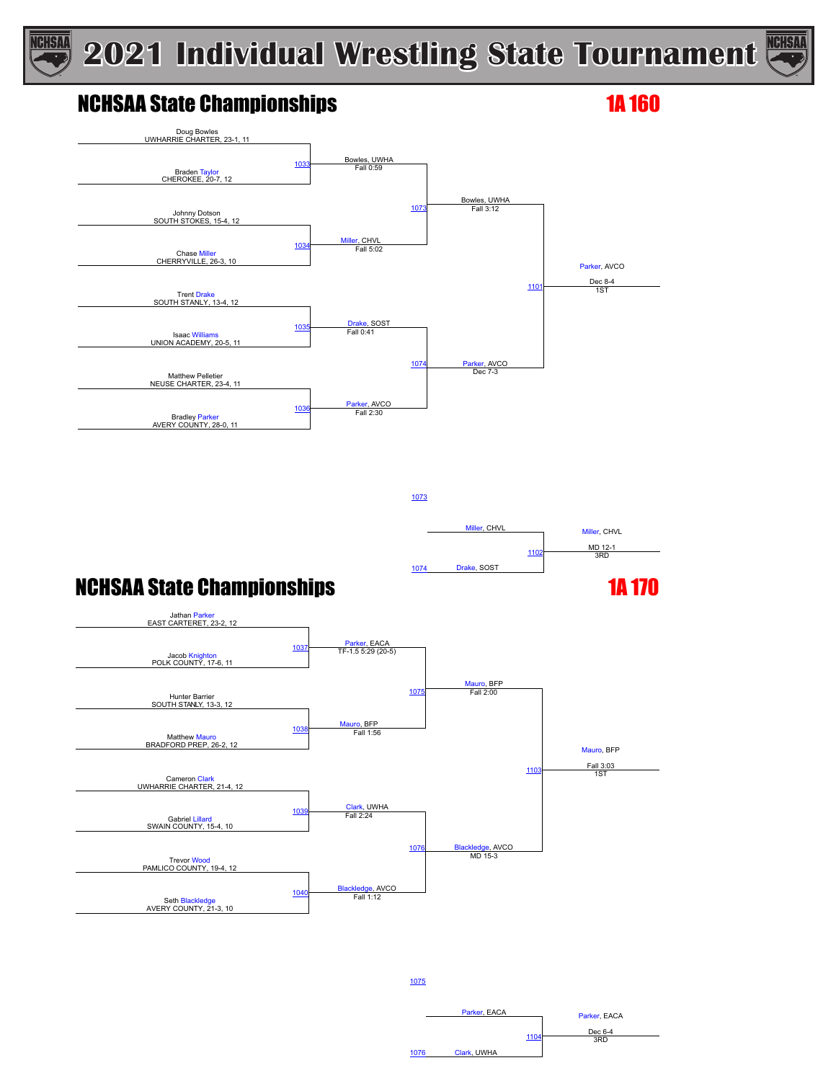



### NCHSAA State Championships 16 and 160



1073



### NCHSAA State Championships 12 and 130



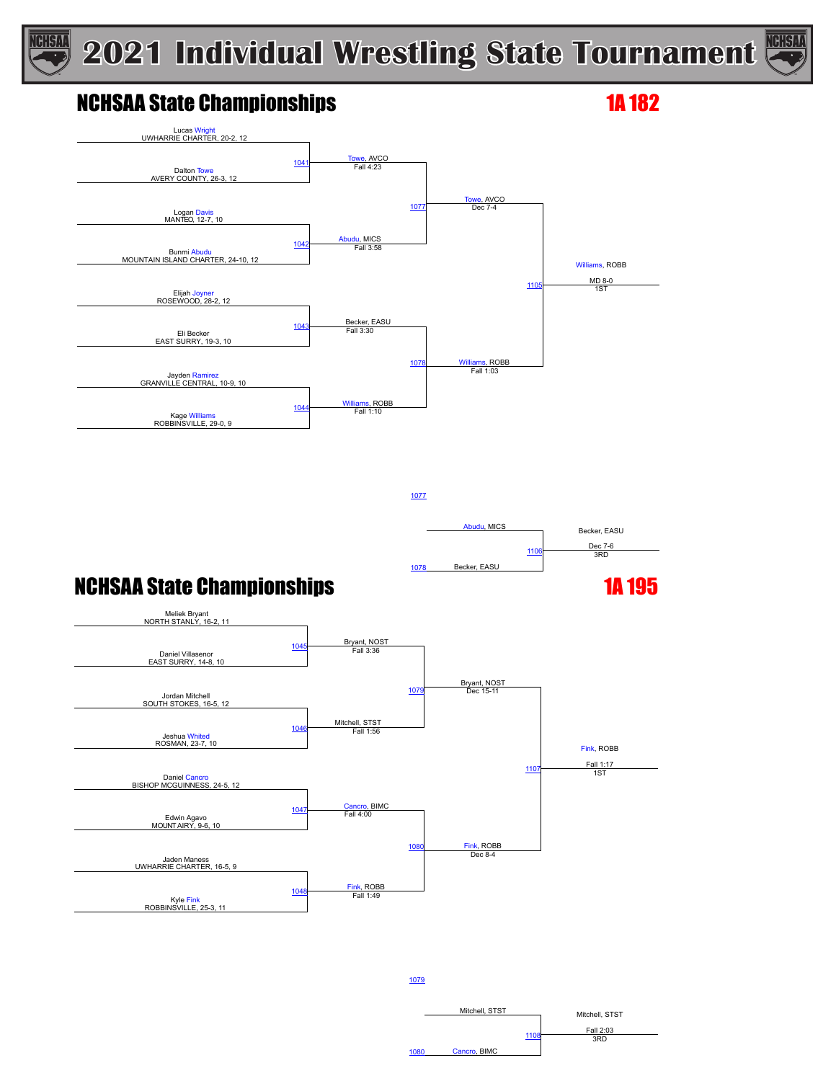1077



### NCHSAA State Championships 16 and 182

**NGHSAA** 





Abudu, MICS Becker, EASU 1106 Dec 7-6<br>3RD 1078 Becker, EASU

Mitchell, STST Mitchell, STST

Fall 2:03 <sup>1108</sup> 3RD

### **NCHSAA State Championships 1A 195**



1079

1080 Cancro, BIMC